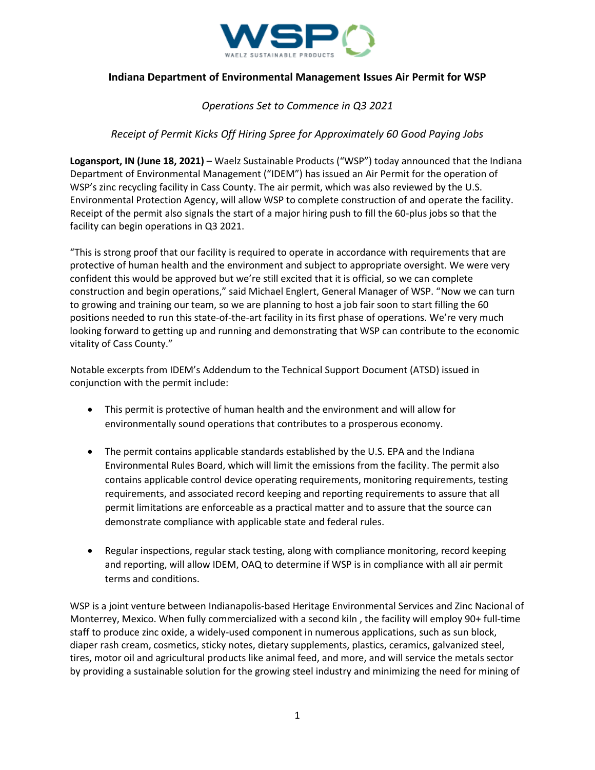

## **Indiana Department of Environmental Management Issues Air Permit for WSP**

# *Operations Set to Commence in Q3 2021*

# *Receipt of Permit Kicks Off Hiring Spree for Approximately 60 Good Paying Jobs*

**Logansport, IN (June 18, 2021)** – Waelz Sustainable Products ("WSP") today announced that the Indiana Department of Environmental Management ("IDEM") has issued an Air Permit for the operation of WSP's zinc recycling facility in Cass County. The air permit, which was also reviewed by the U.S. Environmental Protection Agency, will allow WSP to complete construction of and operate the facility. Receipt of the permit also signals the start of a major hiring push to fill the 60-plus jobs so that the facility can begin operations in Q3 2021.

"This is strong proof that our facility is required to operate in accordance with requirements that are protective of human health and the environment and subject to appropriate oversight. We were very confident this would be approved but we're still excited that it is official, so we can complete construction and begin operations," said Michael Englert, General Manager of WSP. "Now we can turn to growing and training our team, so we are planning to host a job fair soon to start filling the 60 positions needed to run this state-of-the-art facility in its first phase of operations. We're very much looking forward to getting up and running and demonstrating that WSP can contribute to the economic vitality of Cass County."

Notable excerpts from IDEM's Addendum to the Technical Support Document (ATSD) issued in conjunction with the permit include:

- This permit is protective of human health and the environment and will allow for environmentally sound operations that contributes to a prosperous economy.
- The permit contains applicable standards established by the U.S. EPA and the Indiana Environmental Rules Board, which will limit the emissions from the facility. The permit also contains applicable control device operating requirements, monitoring requirements, testing requirements, and associated record keeping and reporting requirements to assure that all permit limitations are enforceable as a practical matter and to assure that the source can demonstrate compliance with applicable state and federal rules.
- Regular inspections, regular stack testing, along with compliance monitoring, record keeping and reporting, will allow IDEM, OAQ to determine if WSP is in compliance with all air permit terms and conditions.

WSP is a joint venture between Indianapolis-based Heritage Environmental Services and Zinc Nacional of Monterrey, Mexico. When fully commercialized with a second kiln , the facility will employ 90+ full-time staff to produce zinc oxide, a widely-used component in numerous applications, such as sun block, diaper rash cream, cosmetics, sticky notes, dietary supplements, plastics, ceramics, galvanized steel, tires, motor oil and agricultural products like animal feed, and more, and will service the metals sector by providing a sustainable solution for the growing steel industry and minimizing the need for mining of